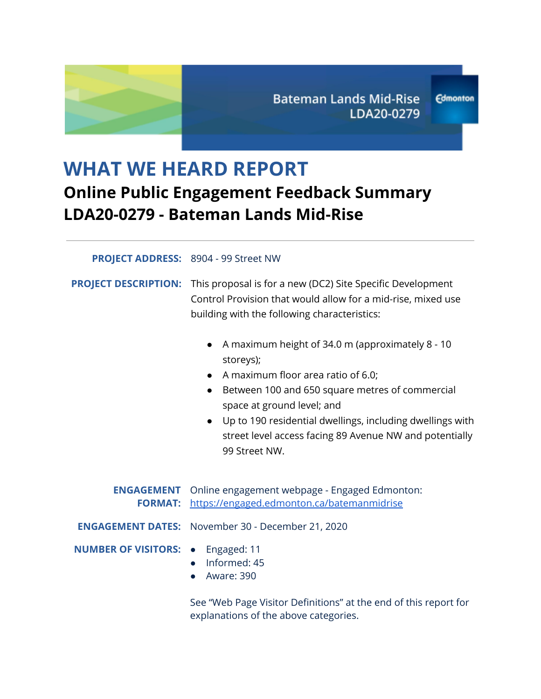# **WHAT WE HEARD REPORT Online Public Engagement Feedback Summary LDA20-0279 - Bateman Lands Mid-Rise**

#### **PROJECT ADDRESS:** 8904 - 99 Street NW

**PROJECT DESCRIPTION:** This proposal is for a new (DC2) Site Specific Development Control Provision that would allow for a mid-rise, mixed use building with the following characteristics:

- A maximum height of 34.0 m (approximately 8 10 storeys);
- A maximum floor area ratio of 6.0;
- Between 100 and 650 square metres of commercial space at ground level; and
- Up to 190 residential dwellings, including dwellings with street level access facing 89 Avenue NW and potentially 99 Street NW.

|                                          | <b>ENGAGEMENT</b> Online engagement webpage - Engaged Edmonton:<br>FORMAT: https://engaged.edmonton.ca/batemanmidrise |
|------------------------------------------|-----------------------------------------------------------------------------------------------------------------------|
|                                          | <b>ENGAGEMENT DATES:</b> November 30 - December 21, 2020                                                              |
| <b>NUMBER OF VISITORS: •</b> Engaged: 11 | $\bullet$ Informed: 45<br>$\bullet$ Aware: 390                                                                        |

See "Web Page Visitor Definitions" at the end of this report for explanations of the above categories.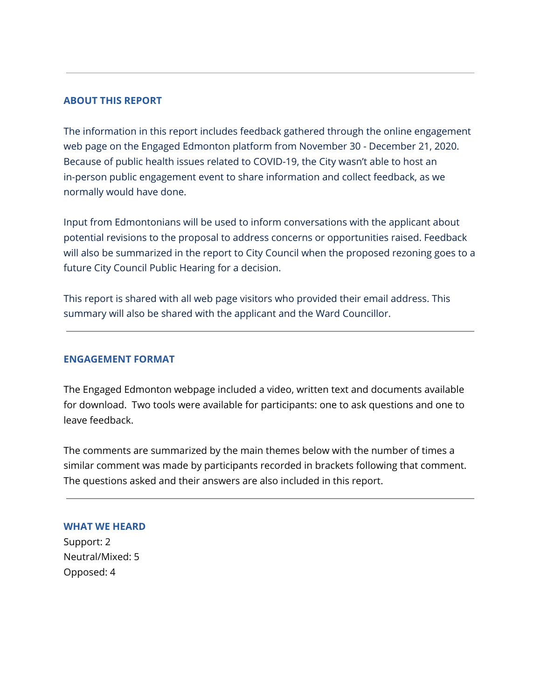#### **ABOUT THIS REPORT**

The information in this report includes feedback gathered through the online engagement web page on the Engaged Edmonton platform from November 30 - December 21, 2020. Because of public health issues related to COVID-19, the City wasn't able to host an in-person public engagement event to share information and collect feedback, as we normally would have done.

Input from Edmontonians will be used to inform conversations with the applicant about potential revisions to the proposal to address concerns or opportunities raised. Feedback will also be summarized in the report to City Council when the proposed rezoning goes to a future City Council Public Hearing for a decision.

This report is shared with all web page visitors who provided their email address. This summary will also be shared with the applicant and the Ward Councillor.

#### **ENGAGEMENT FORMAT**

The Engaged Edmonton webpage included a video, written text and documents available for download. Two tools were available for participants: one to ask questions and one to leave feedback.

The comments are summarized by the main themes below with the number of times a similar comment was made by participants recorded in brackets following that comment. The questions asked and their answers are also included in this report.

## **WHAT WE HEARD**

Support: 2 Neutral/Mixed: 5 Opposed: 4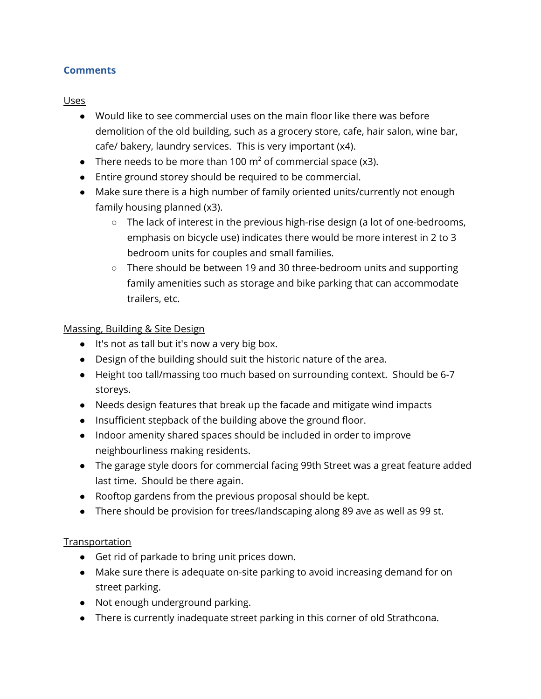# **Comments**

#### **Uses**

- Would like to see commercial uses on the main floor like there was before demolition of the old building, such as a grocery store, cafe, hair salon, wine bar, cafe/ bakery, laundry services. This is very important (x4).
- There needs to be more than 100  $m^2$  of commercial space (x3).
- Entire ground storey should be required to be commercial.
- Make sure there is a high number of family oriented units/currently not enough family housing planned (x3).
	- The lack of interest in the previous high-rise design (a lot of one-bedrooms, emphasis on bicycle use) indicates there would be more interest in 2 to 3 bedroom units for couples and small families.
	- $\circ$  There should be between 19 and 30 three-bedroom units and supporting family amenities such as storage and bike parking that can accommodate trailers, etc.

## Massing, Building & Site Design

- It's not as tall but it's now a very big box.
- Design of the building should suit the historic nature of the area.
- Height too tall/massing too much based on surrounding context. Should be 6-7 storeys.
- Needs design features that break up the facade and mitigate wind impacts
- Insufficient stepback of the building above the ground floor.
- Indoor amenity shared spaces should be included in order to improve neighbourliness making residents.
- The garage style doors for commercial facing 99th Street was a great feature added last time. Should be there again.
- Rooftop gardens from the previous proposal should be kept.
- There should be provision for trees/landscaping along 89 ave as well as 99 st.

# **Transportation**

- Get rid of parkade to bring unit prices down.
- Make sure there is adequate on-site parking to avoid increasing demand for on street parking.
- Not enough underground parking.
- There is currently inadequate street parking in this corner of old Strathcona.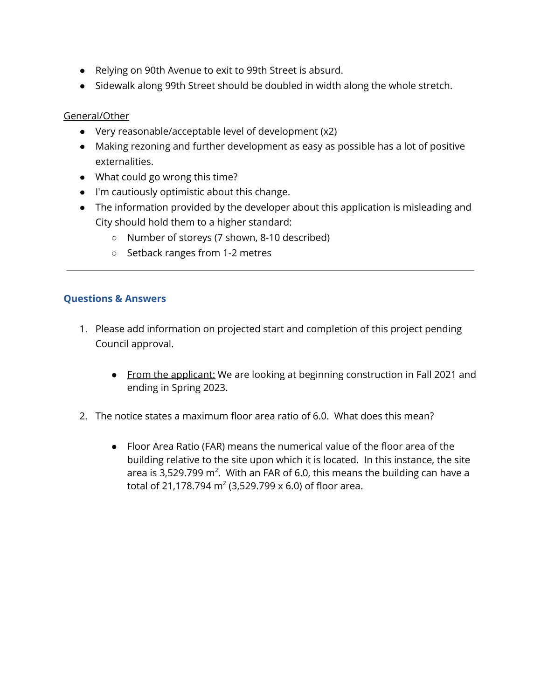- Relying on 90th Avenue to exit to 99th Street is absurd.
- Sidewalk along 99th Street should be doubled in width along the whole stretch.

#### General/Other

- Very reasonable/acceptable level of development (x2)
- Making rezoning and further development as easy as possible has a lot of positive externalities.
- What could go wrong this time?
- I'm cautiously optimistic about this change.
- The information provided by the developer about this application is misleading and City should hold them to a higher standard:
	- Number of storeys (7 shown, 8-10 described)
	- Setback ranges from 1-2 metres

## **Questions & Answers**

- 1. Please add information on projected start and completion of this project pending Council approval.
	- From the applicant: We are looking at beginning construction in Fall 2021 and ending in Spring 2023.
- 2. The notice states a maximum floor area ratio of 6.0. What does this mean?
	- Floor Area Ratio (FAR) means the numerical value of the floor area of the building relative to the site upon which it is located. In this instance, the site area is 3,529.799 m<sup>2</sup>. With an FAR of 6.0, this means the building can have a total of 21,178.794 m $^2$  (3,529.799 x 6.0) of floor area.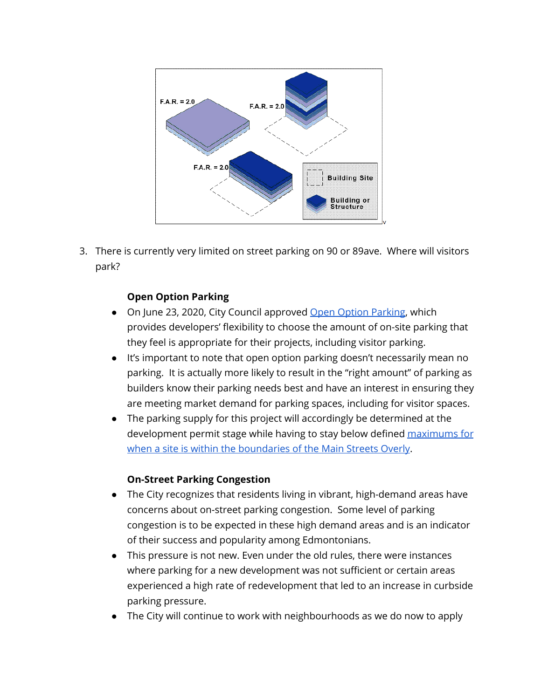

3. There is currently very limited on street parking on 90 or 89ave. Where will visitors park?

# **Open Option Parking**

- On June 23, 2020, City Council approved Open Option [Parking,](https://www.edmonton.ca/city_government/urban_planning_and_design/comprehensive-parking-review.aspx) which provides developers' flexibility to choose the amount of on-site parking that they feel is appropriate for their projects, including visitor parking.
- It's important to note that open option parking doesn't necessarily mean no parking. It is actually more likely to result in the "right amount" of parking as builders know their parking needs best and have an interest in ensuring they are meeting market demand for parking spaces, including for visitor spaces.
- The parking supply for this project will accordingly be determined at the development permit stage while having to stay below defined [maximums](https://webdocs.edmonton.ca/InfraPlan/zoningbylaw/ZoningBylaw/Part1/Development/54_2_On-Site_Vehicle_Parking_Quantities.htm) for when a site is within the [boundaries](https://webdocs.edmonton.ca/InfraPlan/zoningbylaw/ZoningBylaw/Part1/Development/54_2_On-Site_Vehicle_Parking_Quantities.htm) of the Main Streets Overly.

## **On-Street Parking Congestion**

- The City recognizes that residents living in vibrant, high-demand areas have concerns about on-street parking congestion. Some level of parking congestion is to be expected in these high demand areas and is an indicator of their success and popularity among Edmontonians.
- This pressure is not new. Even under the old rules, there were instances where parking for a new development was not sufficient or certain areas experienced a high rate of redevelopment that led to an increase in curbside parking pressure.
- The City will continue to work with neighbourhoods as we do now to apply